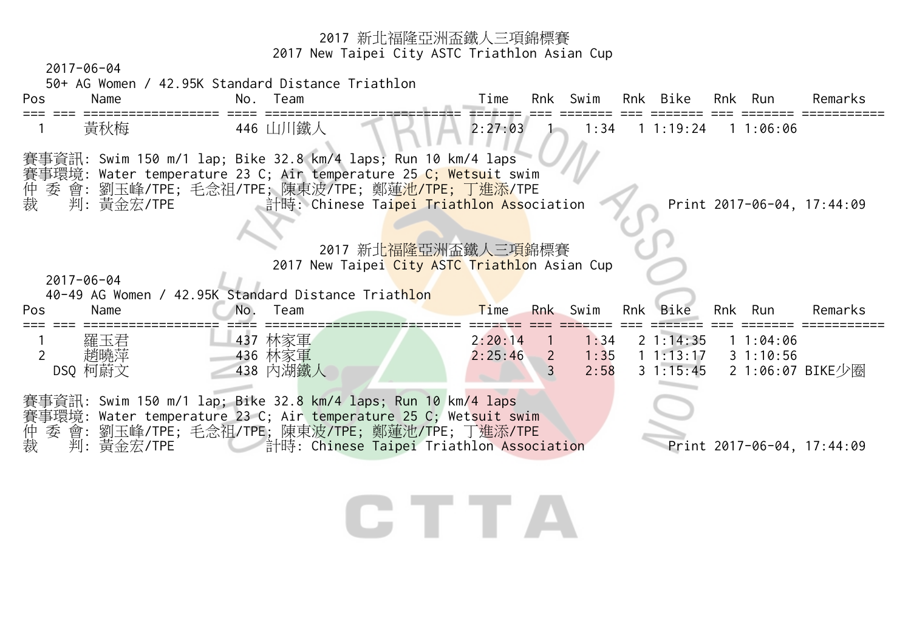<sup>2017</sup>新北福隆亞洲盃鐵人三項錦標賽 2017 New Taipei City ASTC Triathlon Asian Cup 2017-06-04 50+ AG Women / 42.95K Standard Distance Triathlon Pos Name No. Team Time Rnk Swim Rnk Bike Rnk Run Remarks === === ================== ==== ========================== ======= === ======= === ======= === ======= =========== 黃秋梅 11:06:06 446 山川鐵人 2:27:03 1 1:34 1 1:19:24 1 1:06:06 賽事資訊: Swim 150 m/1 lap; Bike 32.8 km/4 laps; Run 10 km/4 laps 賽事環境: Water temperature 23 C; Air temperature 25 C; Wetsuit swim 仲 委 會: 劉玉峰/TPE; 毛念祖/TPE; 陳東波/TPE; 鄭蓮<mark>池/TPE; 丁進添</mark>/TPE 裁 判: 黃金宏/TPE 計時: Chinese Tai<mark>pei Triathlon Ass</mark>ociation Print 2017-06-04, 17:44:09 2017 新北福隆亞洲盃鐵人三項錦標賽 2017 New Taipei City ASTC Triathlon Asian Cup 2017-06-04 40-49 AG Women / 42.95K Standard Distance Triathlon Pos Name No. Team Time Rnk Swim Rnk Bike Rnk Run Remarks === === ================== ==== ========================== ======= === ======= === ======= === ======= =========== <sup>1</sup>羅玉君 437 林家軍 2:20:14 1 1:34 2 1:14:35 1 1:04:06 <sup>2</sup>趙曉萍 436 林家軍 2:25:46 2 1:35 1 1:13:17 3 1:10:56 DSQ 柯蔚文 438 内湖鐵人 3 2:58 3 1:15:45 2 1:06:07 BIKE少圈 賽事資訊: Swim 150 m/1 lap; Bike 32.8 km/4 laps; Run 10 km/4 laps 賽事環境: Water temperature 23 C; Air temperature 25 C; Wetsuit swim 仲 委 會: 劉玉峰/TPE; 毛念祖/TPE; 陳東波/TPE; 鄭蓮池/TPE; 丁進添/TPE 裁 判: 黃金宏/TPE 計時: Chinese Taipei Triathlon Association Print 2017-06-04, 17:44:09CHITTE .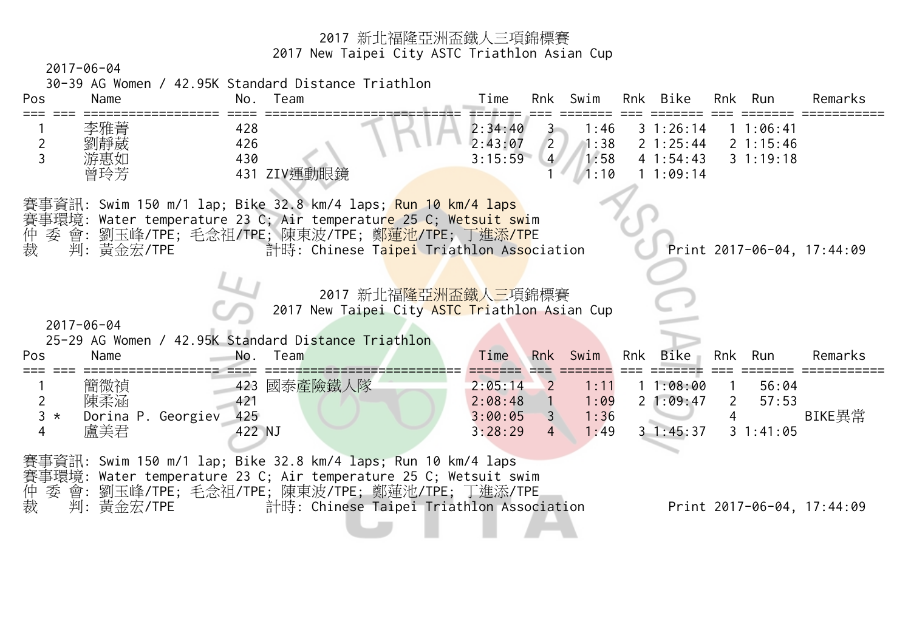2017-06-04 30-39 AG Women / 42.95K Standard Distance Triathlon Pos Name No. Team Time Rnk Swim Rnk Bike Rnk Run Remarks === === ================== ==== ========================== ======= === ======= === ======= === ======= =========== <sup>1</sup>李雅菁 428 2:34:40 3 1:46 3 1:26:14 1 1:06:41 <sup>2</sup>劉靜葳 426 2:43:07 2 1:38 2 1:25:44 2 1:15:46 <sup>3</sup>游惠如 430 3:15:59 4 1:58 4 1:54:43 3 1:19:18 431 ZIV運動眼鏡 1 1:09:14 賽事資訊: Swim 150 m/1 lap; Bike 32.8 km/4 laps; Run 10 km/4 laps 賽事環境: Water temperature 23 C; Air temperature 25 C; Wetsuit swim 仲 委 會: 劉玉峰/TPE; 毛念祖/TPE; 陳東波/TPE; 鄭<mark>蓮池/TP</mark>E; 丁進添/TPE 裁 判: 黃金宏/TPE 計時: Chinese Taipei Triathlon Association Print 2017-06-04, 17:44:09 2017 新北福隆亞洲盃鐵人三項錦標賽 2017 New Taipei City ASTC Triathlon Asian Cup 2017-06-04 25-29 AG Women / 42.95K Standard Distance Triathlon Pos Name No. Team Time Rnk Swim Rnk Bike Rnk Run Remarks === === ================== ==== ========================== ======= === ======= === ======= === ======= =========== 1 簡微禎 423 國泰產險鐵人隊 2:05:14 2 1:11 1 1:08:00 1 56:04 <sup>2</sup>陳柔涵 421 2:08:48 1 1:09 2 1:09:47 2 57:53 3 \* Dorina P. Georgiev 425 20 20:05 3 3:00:05 3 3:00:05 3 1:36 4 BIKE畢常 <sup>4</sup>盧美君 422 NJ 3:28:29 4 1:49 3 1:45:37 3 1:41:05 賽事資訊: Swim 150 m/1 lap; Bike 32.8 km/4 laps; Run 10 km/4 laps 賽事環境: Water temperature 23 C; Air temperature 25 C; Wetsuit swim 仲 委 會: 劉玉峰/TPE; 毛念祖/TPE; 陳東波/TPE; 鄭蓮池/TPE; 丁進添/TPE 裁 判: 黃金宏/TPE 計時: Chinese Taipei Triathlon Association Print 2017-06-04, 17:44:09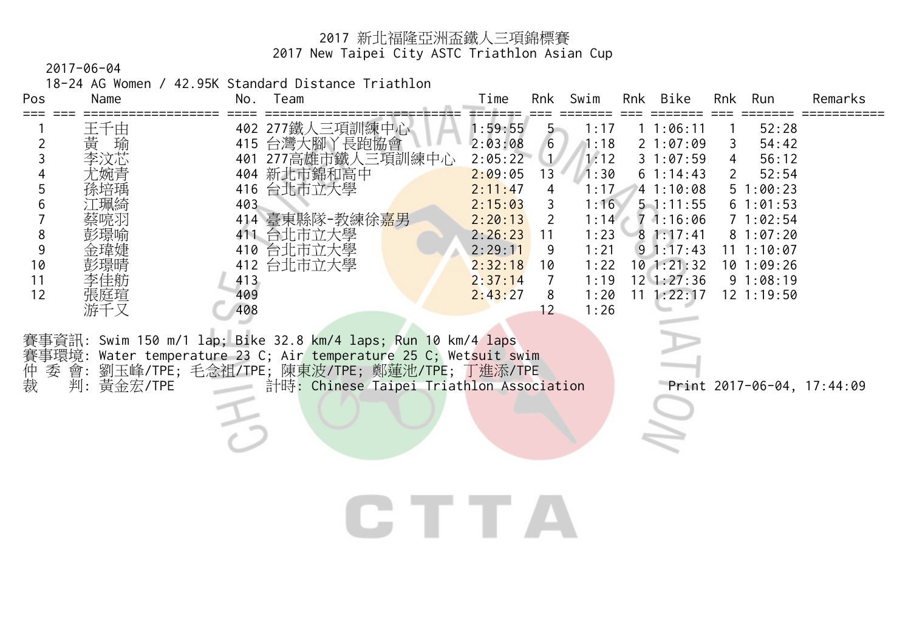2017-06-04

18-24 AG Women / 42.95K Standard Distance Triathlon

| Pos<br>Name                                                                                 | No. Team                                                                                                                                                                                                                                                                                                                          | Rnk Swim<br>Time                                                                                                                                                                                           |                                                                                                      | Rnk Bike                                                                                                                                                                | Rnk<br>Run                                                                                                                                                                 | Remarks |
|---------------------------------------------------------------------------------------------|-----------------------------------------------------------------------------------------------------------------------------------------------------------------------------------------------------------------------------------------------------------------------------------------------------------------------------------|------------------------------------------------------------------------------------------------------------------------------------------------------------------------------------------------------------|------------------------------------------------------------------------------------------------------|-------------------------------------------------------------------------------------------------------------------------------------------------------------------------|----------------------------------------------------------------------------------------------------------------------------------------------------------------------------|---------|
| 王千由<br>黃<br>瑜<br>2<br>3<br>李汶芯<br>5<br>6<br>8<br>9<br>10<br>11<br>12<br>張庭瑄<br>游千又<br>賽事環境: | 402 277鐵人三項訓練中心<br>台灣大腳丫長跑協會<br>415<br>277高雄市鐵人三項訓練中心<br>401<br>404 新北市錦和高中<br>台北市立大學<br>416<br>403<br>414 臺東縣隊-教練徐 <u>幕男</u><br>411 台北市立大學<br>台北市立大學<br>410<br>台北市立大學<br>412<br>413<br>409<br>408<br>賽事資訊: Swim 150 m/1 lap; Bike 32.8 km/4 laps; Run 10 km/4 laps<br>Water temperature 23 C; Air temperature 25 C; Wetsuit swim | 1:59:55<br>$5 -$<br>6<br>2:03:08<br>2:05:22<br>1/<br>2:09:05<br>13<br>2:11:47<br>4<br>2:15:03<br>3<br>2:20:13<br>2<br>2:26:23<br>11<br>2:29:11<br>9<br>2:32:18<br>10<br>2:37:14<br>7<br>2:43:27<br>8<br>12 | 1:17<br>1:18<br>1:12<br>1:30<br>1:17<br>1:16<br>1:14<br>1:23<br>1:21<br>1:22<br>1:19<br>1:20<br>1:26 | 11:06:11<br>21:07:09<br>31:07:59<br>61:14:43<br>41:10:08<br>$5 - 1:11:55$<br>71:16:06<br>81:17:41<br>$9 \t1:17:43$<br>$10$ 1:21:32<br>$12 \; 1:27:36$<br>$11 \t1:22:17$ | 52:28<br>54:42<br>3<br>56:12<br>4<br>52:54<br>$\overline{2}$<br>51:00:23<br>61:01:53<br>71:02:54<br>81:07:20<br>11 1:10:07<br>$10$ $1:09:26$<br>91:08:19<br>$12 \t1:19:50$ |         |
| 仲裁<br>判:黃金宏/TPE                                                                             | 委 會: 劉玉峰/TPE; 毛念祖/TPE; 陳東波/TPE; 鄭蓮池/TPE; 丁進添/TPE<br>計時: Chinese Taipei Triathlon Association                                                                                                                                                                                                                                      |                                                                                                                                                                                                            |                                                                                                      |                                                                                                                                                                         | Print 2017-06-04, 17:44:09                                                                                                                                                 |         |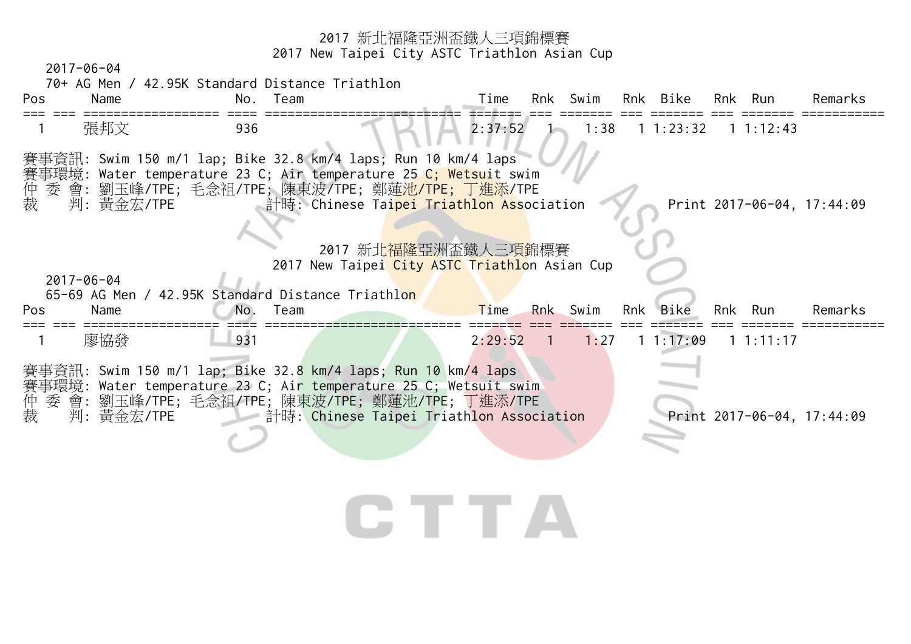2017-06-04



# TT.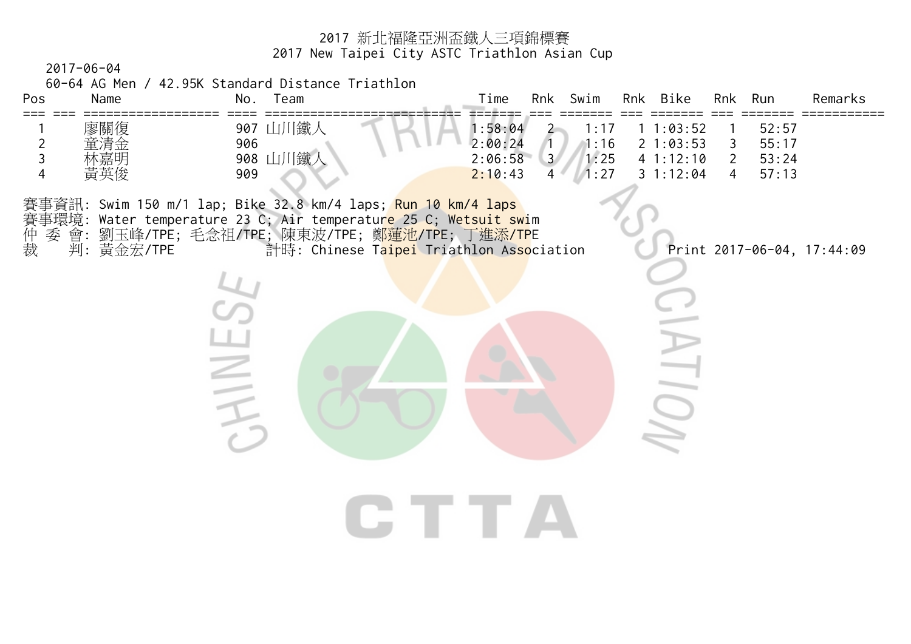2017-06-04

60-64 AG Men / 42.95K Standard Distance Triathlon

**CHINES** 

| Pos | Name                     | Team<br>No.                         | $\tau$ ime                              | Rnk            | Swim                                | Rnk | Bike                                     | Rnk | Run                              | Remarks |
|-----|--------------------------|-------------------------------------|-----------------------------------------|----------------|-------------------------------------|-----|------------------------------------------|-----|----------------------------------|---------|
|     | 廖關復<br>童清金<br>林嘉明<br>黃英俊 | 鐵<br>907<br>906<br>「鐵<br>908<br>909 | :58:04<br>2:00:24<br>2:06:58<br>2:10:43 | $\overline{3}$ | $\cdots$ 17<br>1:16<br>1:25<br>1.27 |     | :03:52<br>21:03:53<br>41:12:10<br>:12:04 |     | 52:57<br>55:17<br>53:24<br>57:13 |         |

**CTTA** 

賽事資訊: Swim 150 m/1 lap; Bike 32.8 km/4 laps; Run 10 km/4 laps 事環境: Water temperature 23 C; Air temperatur<mark>e 25 C; Wetsuit sw</mark>im 賽仲裁 委 會: 劉玉峰/TPE; 毛念祖/TPE; 陳東波/TPE; 鄭<mark>蓮池/TP</mark>E; 丁進添/TPE 判: 黃金宏/TPE 計時: Chinese Taipei Triathlon Association Print 2017-06-04, 17:44:09

 $\overline{\tau}$ 

SIN<br>S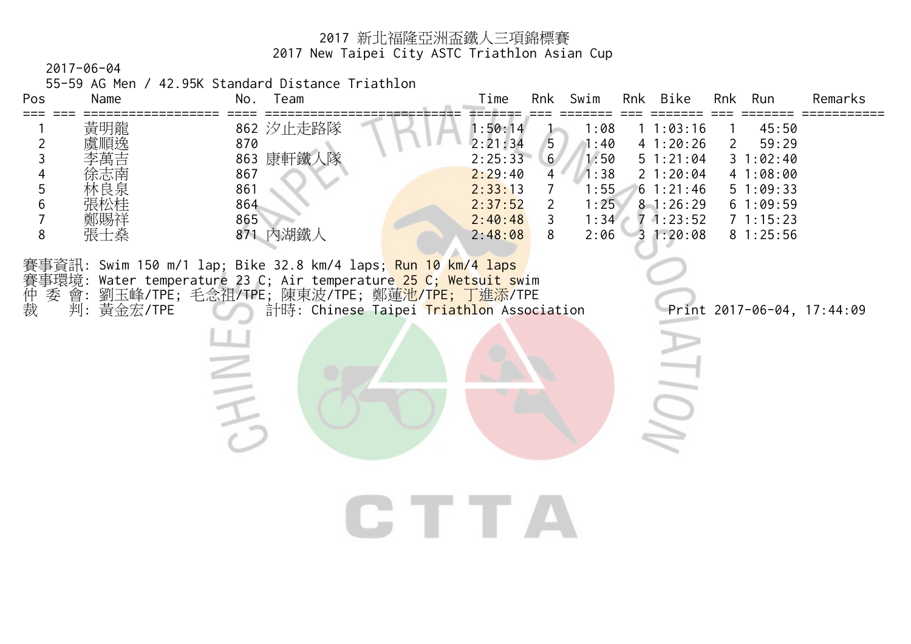2017-06-04

55-59 AG Men / 42.95K Standard Distance Triathlon

| Pos<br>Name<br>$==$                                                     | No.<br>Team                                                                                                                                                                                                            | Swim<br>Rnk Bike<br>Remarks<br>Time<br>Rnk<br>Run<br>Rnk                                                                                                                                                                                                                                                                                                                                               |
|-------------------------------------------------------------------------|------------------------------------------------------------------------------------------------------------------------------------------------------------------------------------------------------------------------|--------------------------------------------------------------------------------------------------------------------------------------------------------------------------------------------------------------------------------------------------------------------------------------------------------------------------------------------------------------------------------------------------------|
| 黃明龍<br>順逸<br>$\overline{2}$<br>3<br>4<br>5<br>6<br>7<br>鄭賜祥<br>8<br>張士燊 | 862 汐止走路隊<br>870<br>863 康軒鐵人隊<br>867<br>861<br>864<br>865<br>871 内湖鐵人                                                                                                                                                  | 1:50:14<br>45:50<br>1:08<br>1:03:16<br>5<br>2:21:34<br>41:20:26<br>1:40<br>59:29<br>2<br>6 <sup>1</sup><br>2:25:33<br>1:50<br>51:21:04<br>1:02:40<br>3<br>2:29:40<br>1:38<br>21:20:04<br>4<br>41:08:00<br>1:55<br>2:33:13<br>61:21:46<br>51:09:33<br>1:25<br>2:37:52<br>2<br>81:26:29<br>61:09:59<br>3<br>2:40:48<br>1:34<br>$7 - 1:23:52$<br>71:15:23<br>8<br>2:06<br>31:20:08<br>81:25:56<br>2:48:08 |
| 仲裁<br>會:<br>委<br>判: 黃金宏/TPE                                             | 賽事資訊: Swim 150 m/1 lap; Bike 32.8 km/4 laps; Run 10 km/4 laps<br>賽事環境: Water temperature 23 C; Air temperature <mark>25 C; Wetsuit s</mark> wim<br>劉玉峰/TPE;毛念祖/TPE;陳東波/TPE;鄭蓮池/T <mark>PE; 丁進添</mark> /TPE<br>$\equiv$ | 計時: Chinese Taipei Triathlon Association<br>Print 2017-06-04, 17:44:09<br><b>IUI</b><br>LE TE 7                                                                                                                                                                                                                                                                                                        |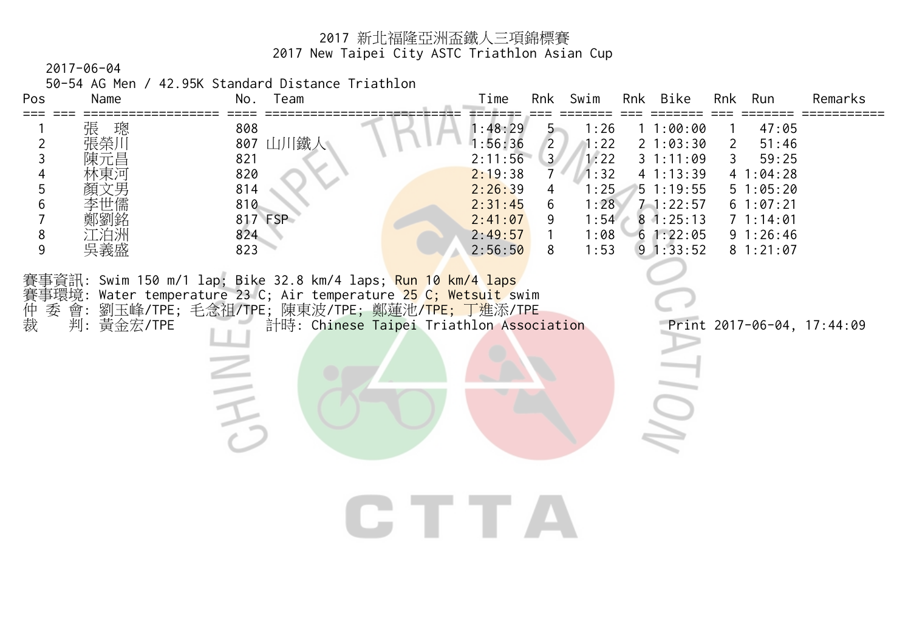2017-06-04

50-54 AG Men / 42.95K Standard Distance Triathlon

| $==$<br>張 璁<br>808<br>1:48:29<br>11:00:00<br>47:05<br>$\overline{5}$<br>1:26<br>張榮川<br>$\overline{2}$<br>807 山川鐵人<br>1:56:36<br>$\overline{2}$<br>1:22<br>21:03:30<br>51:46<br>$\overline{2}$<br>3 <sup>7</sup><br>$\mathfrak{Z}$<br>2:11:56<br>1:22<br>31:11:09<br>3<br>59:25<br>陳元昌<br>821<br>$\overline{\mathcal{A}}$<br>820<br>1:32<br>2:19:38<br>7<br>41:13:39<br>41:04:28<br>5<br>814<br>1:25<br>51:19:55<br>2:26:39<br>51:05:20<br>4<br>6<br>810<br>1:28<br>2:31:45<br>$7 - 1:22:57$<br>6<br>61:07:21<br>817 FSP<br>81:25:13<br>2:41:07<br>1:54<br>71:14:01<br>9<br>鄭劉銘 |  |
|--------------------------------------------------------------------------------------------------------------------------------------------------------------------------------------------------------------------------------------------------------------------------------------------------------------------------------------------------------------------------------------------------------------------------------------------------------------------------------------------------------------------------------------------------------------------------------|--|
| 8<br>江泊洲<br>824<br>1:08<br>61:22:05<br>91:26:46<br>2:49:57<br>1<br>9<br>吳義盛<br>823<br>8<br>1:53<br>91:33:52<br>2:56:50<br>81:21:07                                                                                                                                                                                                                                                                                                                                                                                                                                             |  |
| 賽事資訊: Swim 150 m/1 lap; Bike 32.8 km/4 laps; <mark>Run 10 km/4 laps</mark><br>Water temperature 23 C; Air temperature 25 C; Wetsuit swim<br>賽事環境:<br>神事委<br>裁<br>劉玉峰/TPE;毛念祖/TPE;陳東波/TPE;鄭蓮池/TPE;丁進添/TPE<br>判: 黃金宏/TPE<br>計時: Chinese Taipei Triathlon Association<br>Print 2017-06-04, 17:44:09<br>$\equiv$<br>TE TELEVISION                                                                                                                                                                                                                                                  |  |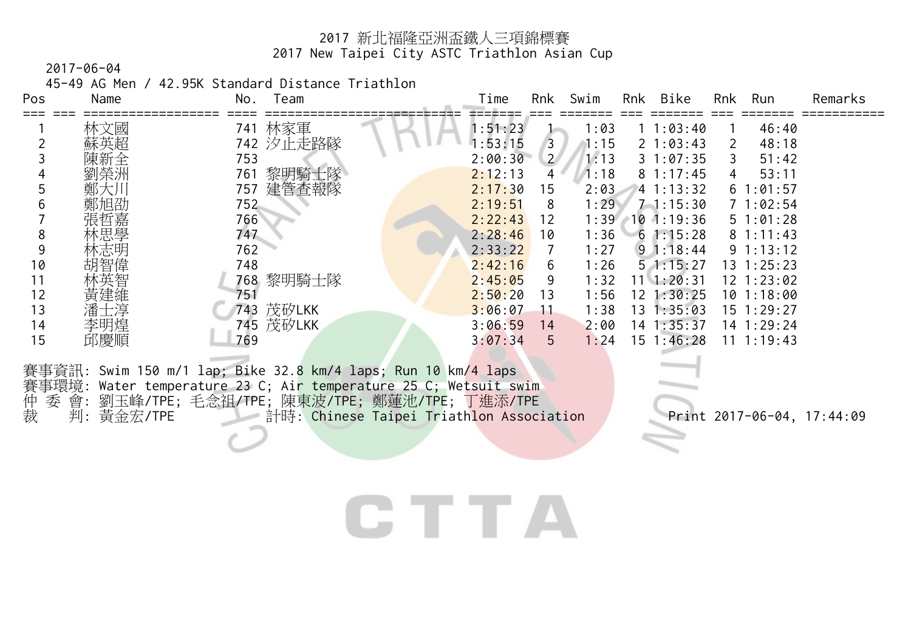2017-06-04

45-49 AG Men / 42.95K Standard Distance Triathlon

| Pos | Name | Team<br>No.  | Time    | Rnk         | Swim | Rnk | Bike               | Rnk | Run            | Remarks |
|-----|------|--------------|---------|-------------|------|-----|--------------------|-----|----------------|---------|
|     | 林文國  | 林家軍<br>741   | 1:51:23 |             | 1:03 |     | 1:03:40            |     | 46:40          |         |
|     | 蘇英超  | 742 汐止走路隊    | 1:53:15 | 3           | 1:15 |     | $2 \t1:03:43$      |     | 48:18          |         |
|     |      | 753          | 2:00:30 | $2^{\circ}$ | 1:13 |     | 31:07:35           |     | 51:42          |         |
|     | 劉榮洲  | 黎明騎士隊<br>761 | 2:12:13 | 4           | 1:18 |     | 81:17:45           | 4   | 53:11          |         |
|     | 鄭大川  | 建管查報隊<br>757 | 2:17:30 | 15          | 2:03 |     | 1:13:32            |     | 61:01:57       |         |
|     | 鄭旭劭  | 752          | 2:19:51 | 8           | 1:29 |     | $7 - 1:15:30$      |     | 71:02:54       |         |
|     | 張哲嘉  | 766          | 2:22:43 | 12          | 1:39 |     | 101:19:36          |     | $5 \t1:01:28$  |         |
| Ō   | 林思學  | 747          | 2:28:46 | 10          | 1:36 |     | 61:15:28           |     | 81:11:43       |         |
| 9   | 林志明  | 762          | 2:33:22 |             | 1:27 |     | $9 \t1:18:44$      |     | $9 \t1:13:12$  |         |
| 10  | 智偉   | 748          | 2:42:16 | 6.          | 1:26 |     | 51:15:27           |     | $13 \t1:25:23$ |         |
|     |      | 黎明騎士隊<br>768 | 2:45:05 | 9           | 1:32 |     | $11 \quad 1:20:31$ |     | $12 \t1:23:02$ |         |
| 12  |      | 751          | 2:50:20 | 13          | 1:56 |     | 12 1:30:25         |     | 101:18:00      |         |
| 13  |      | 茂矽LKK<br>743 | 3:06:07 |             | 1:38 |     | 13 1:35:03         |     | $15 \t1:29:27$ |         |
| 14  | 李明煌  | 745 茂矽LKK    | 3:06:59 | 14          | 2:00 |     | 14 1:35:37         |     | 14 1:29:24     |         |
| 15  | 邱慶順  | 769          | 3:07:34 | 5           | 1:24 |     | $15 \t1:46:28$     |     | $11 \t1:19:43$ |         |
|     |      |              |         |             |      |     |                    |     |                |         |

賽事資訊: Swim 150 m/1 lap; Bike 32.8 km/4 laps; Run 10 km/4 laps 賽事環境: Water temperature 23 C; Air temperature 25 C; Wetsuit swim 仲 委 會: 劉玉峰/TPE; 毛念祖/TPE; 陳東波/TPE; 鄭蓮池/TPE; 丁進添/TPE 裁 判: 黃金宏/TPE 計時: Chinese Taipei Triathlon Association Print 2017-06-04, 17:44:09

# CTTA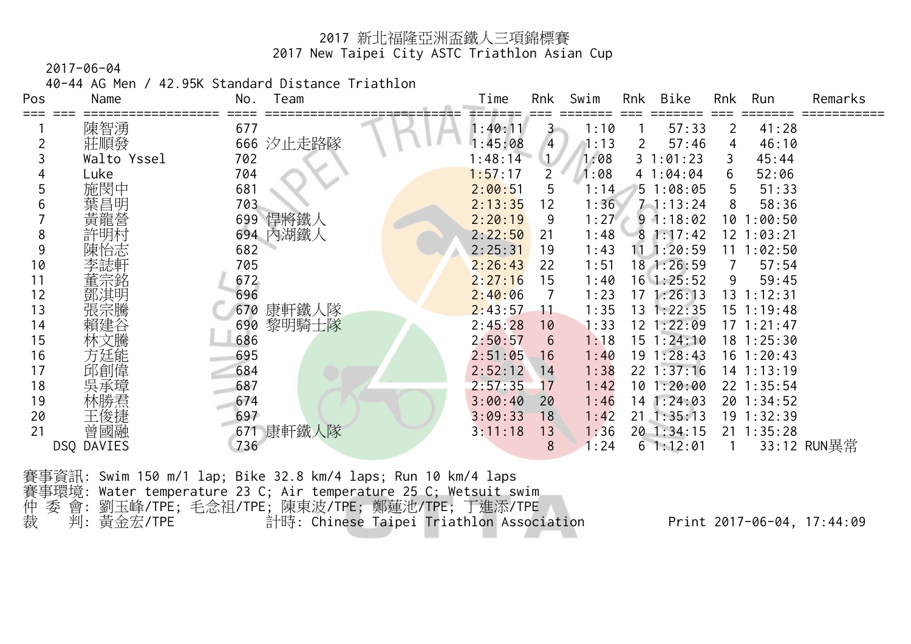2017-06-04

40-44 AG Men / 42.95K Standard Distance Triathlon

| Pos | Name        | No.<br>Team  | Time    | Rnk          | Swim | Rnk | Bike             | Rnk | Run            | Remarks     |
|-----|-------------|--------------|---------|--------------|------|-----|------------------|-----|----------------|-------------|
|     | 陳智湧         | 677          | 1:40:11 | 3            | 1:10 |     | 57:33            | 2   | 41:28          |             |
|     | 莊順發         | 汐止走路隊<br>666 | :45:08  | 4            | 1:13 | 2   | 57:46            | 4   | 46:10          |             |
|     | Walto Yssel | 702          | 1:48:14 | $\mathbf{L}$ | 1:08 |     | 31:01:23         | 3   | 45:44          |             |
|     | Luke        | 704          | 1:57:17 | 2            | 1:08 |     | 41:04:04         | 6   | 52:06          |             |
|     | 施閔中         | 681          | 2:00:51 | 5            | 1:14 |     | 51:08:05         | 5   | 51:33          |             |
|     | 葉昌明         | 703          | 2:13:35 | 12           | 1:36 |     | $7 - 1:13:24$    | 8   | 58:36          |             |
|     | 黃龍營         | 悍將鐵人<br>699  | 2:20:19 | 9            | 1:27 |     | 91:18:02         | 10  | 1:00:50        |             |
| 8   |             | 694 內湖鐵人     | 2:22:50 | 21           | 1:48 |     | 81:17:42         |     | 12 1:03:21     |             |
| 9   |             | 682          | 2:25:31 | 19           | 1:43 | 11  | 1:20:59          | 11  | 1:02:50        |             |
| 10  |             | 705          | 2:26:43 | 22           | 1:51 |     | 18 1:26:59       |     | 57:54          |             |
| 11  |             | 672          | 2:27:16 | 15           | 1:40 |     | $16 \ \ 1:25:52$ | 9   | 59:45          |             |
| 12  | 鄧淇明         | 696          | 2:40:06 |              | 1:23 |     | $17 \; 1:26:13$  | 13  | 1:12:31        |             |
| 13  |             | 康軒鐵人隊<br>670 | 2:43:57 | 11           | 1:35 | 13  | 1:22:35          |     | 15 1:19:48     |             |
| 14  |             | 黎明騎士隊<br>690 | 2:45:28 | 10           | 1:33 |     | 12 1:22:09       |     | 17 1:21:47     |             |
| 15  |             | 686          | 2:50:57 | 6            | 1:18 |     | $15$ $1:24:10$   |     | 18 1:25:30     |             |
| 16  |             | 695          | 2:51:05 | 16           | 1:40 |     | $19 \t1:28:43$   |     | 16 1:20:43     |             |
| 17  | 邱創偉         | 684          | 2:52:12 | 14           | 1:38 |     | $22 \t1:37:16$   |     | 14 1:13:19     |             |
| 18  |             | 687          | 2:57:35 | 17           | 1:42 |     | 101:20:00        |     | 22 1:35:54     |             |
| 19  |             | 674          | 3:00:40 | 20           | 1:46 |     | $14$ 1:24:03     |     | 20 1:34:52     |             |
| 20  |             | 697          | 3:09:33 | 18           | 1:42 |     | $21 \t1:35:13$   |     | 19 1:32:39     |             |
| 21  | 曾國融         | 康軒鐵人隊<br>671 | 3:11:18 | 13           | 1:36 |     | 20 1:34:15       |     | $21 \t1:35:28$ |             |
|     | DSQ DAVIES  | 736          |         | 8            | 1:24 |     | 61:12:01         |     |                | 33:12 RUN異常 |

賽事資訊: Swim 150 m/1 lap; Bike 32.8 km/4 laps; Run 10 km/4 laps 賽事環境: Water temperature 23 C; Air temperature 25 C; Wetsuit swim 仲 委 會: 劉玉峰/TPE; 毛念祖/TPE; 陳東波/TPE; 鄭蓮池/TPE; 丁進添/TPE 裁 判: 黃金宏/TPE 計時: Chinese Taipei Triathlon Association Print 2017-06-04, 17:44:09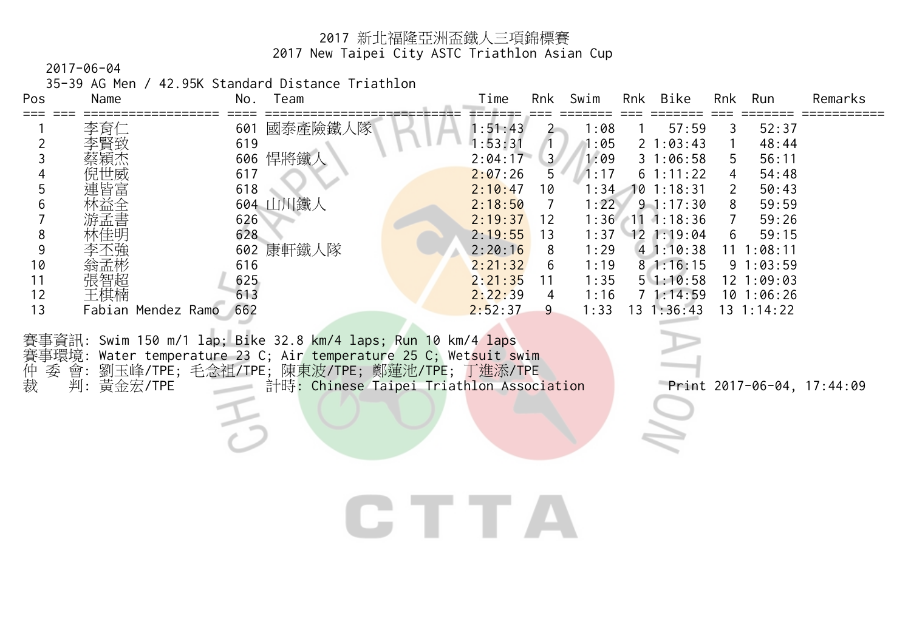2017-06-04

35-39 AG Men / 42.95K Standard Distance Triathlon

| Pos | Name   | No.                | Team     | Time    | Rnk            | Swim | Rnk | Bike           | Rnk | Run            | Remarks |
|-----|--------|--------------------|----------|---------|----------------|------|-----|----------------|-----|----------------|---------|
|     | 李育仁    | 601                | 國泰產險鐵人隊  | 1:51:43 |                | 1:08 |     | 57:59          |     | 52:37          |         |
|     | 李賢致    | 619                |          | 1:53:31 |                | 1:05 |     | 21:03:43       |     | 48:44          |         |
|     | 蔡穎杰    | 606                | 悍將鐵人     | 2:04:17 | 3 <sup>1</sup> | 1:09 |     | 31:06:58       | 5   | 56:11          |         |
|     | 倪世威    | 617                |          | 2:07:26 | 5              | 1:17 |     | $6 \t1:11:22$  | 4   | 54:48          |         |
|     | 連皆富    | 618                |          | 2:10:47 | 10             | 1:34 |     | 101:18:31      |     | 50:43          |         |
|     | 林益全    |                    | 604 山川鐵人 | 2:18:50 |                | 1:22 |     | $9 - 1:17:30$  | 8   | 59:59          |         |
|     | 游孟書    | 626                |          | 2:19:37 | 12             | 1:36 | #11 | 1:18:36        |     | 59:26          |         |
| 8   | 林佳明    | 628                |          | 2:19:55 | 13             | 1:37 |     | $12 \t1:19:04$ | 6   | 59:15          |         |
|     | 不強     | 602                | 康軒鐵人隊    | 2:20:16 | 8              | 1:29 |     | 41:10:38       | 11  | : 08:11        |         |
| 10  | 翁孟彬    | 616                |          | 2:21:32 | 6              | 1:19 |     | 81:16:15       |     | 91:03:59       |         |
|     | 張智超    | 625                |          | 2:21:35 |                | 1:35 |     | 51:10:58       |     | $12 \t1:09:03$ |         |
| 12  | 王棋楠    | 613                |          | 2:22:39 | 4              | 1:16 |     | 71:14:59       |     | 101:06:26      |         |
| 13  | Fabian | 662<br>Mendez Ramo |          | 2:52:37 | 9.             | 1:33 | 3   | 1:36:43        |     | 13 1:14:22     |         |

CTTA

賽事資訊: Swim 150 m/1 lap; Bike 32.8 km/4 laps; Run 10 km/4 laps 賽事環境: Water temperature 23 C; Air temperature 25 C; Wetsuit swim 仲 委 會: 劉玉峰/TPE; 毛念祖/TPE; 陳東波/TPE; 鄭蓮池/TPE; 丁進添/TPE 裁 判: 黃金宏/TPE 計時: Chinese Taipei Triathlon Association Print 2017-06-04, 17:44:09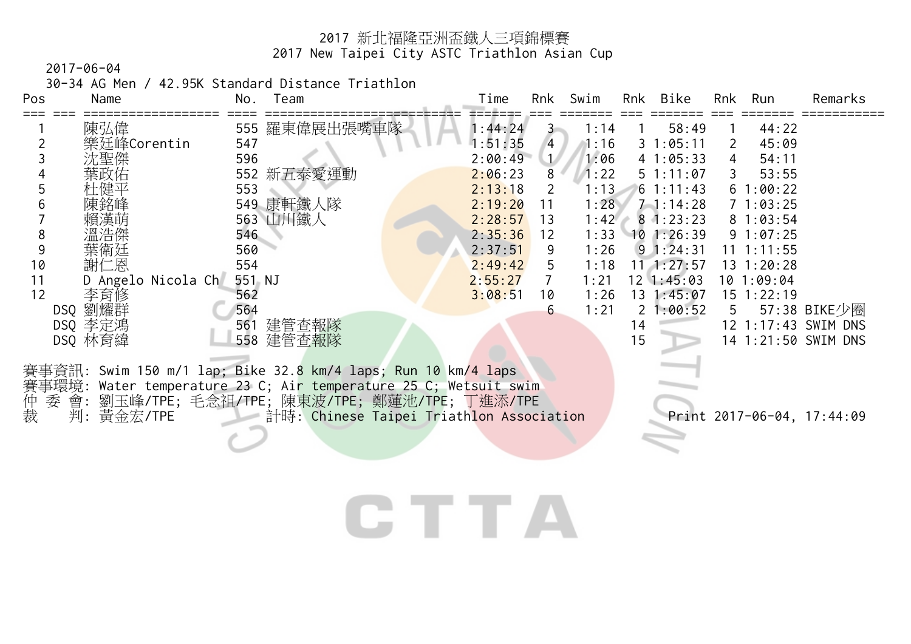2017-06-04

30-34 AG Men / 42.95K Standard Distance Triathlon

| Pos | Name               | No.    | Team                                                                                                                              | Time    | Rnk            | Swim |    | Rnk Bike           | Rnk             | Run            | Remarks                    |
|-----|--------------------|--------|-----------------------------------------------------------------------------------------------------------------------------------|---------|----------------|------|----|--------------------|-----------------|----------------|----------------------------|
|     | 陳弘偉                |        | 555 羅東偉展出張嘴車隊                                                                                                                     | 1:44:24 | 3.             | 1:14 |    | 58:49              |                 | 44:22          |                            |
|     | 樂廷峰Corentin        | 547    |                                                                                                                                   | 1:51:35 | $\overline{4}$ | 1:16 |    | 31:05:11           | 2               | 45:09          |                            |
|     | 沈聖傑                | 596    |                                                                                                                                   | 2:00:49 | 1/             | 1:06 |    | 41:05:33           | 4               | 54:11          |                            |
|     | 葉政佑                |        | 552 新五泰愛運動                                                                                                                        | 2:06:23 | 8              | 1:22 |    | $5 \t1:11:07$      | 3               | 53:55          |                            |
|     | 杜健平                | 553    |                                                                                                                                   | 2:13:18 |                | 1:13 |    | $6 \t1:11:43$      |                 | 61:00:22       |                            |
|     | 陳銘峰                |        | 549 康軒鐵人隊                                                                                                                         | 2:19:20 | 11             | 1:28 |    | $7 - 1:14:28$      |                 | 71:03:25       |                            |
|     |                    |        | 563 山川鐵人                                                                                                                          | 2:28:57 | 13             | 1:42 |    | 81:23:23           |                 | 81:03:54       |                            |
| 8   |                    | 546    |                                                                                                                                   | 2:35:36 | 12             | 1:33 |    | 101:26:39          |                 | 91:07:25       |                            |
| 9   | 葉衛廷                | 560    |                                                                                                                                   | 2:37:51 | 9              | 1:26 |    | $9 \t1:24:31$      |                 | $11 \t1:11:55$ |                            |
| 10  | 謝仁恩                | 554    |                                                                                                                                   | 2:49:42 | 5              | 1:18 |    | $11 \quad 1:27:57$ |                 | 13 1:20:28     |                            |
| 11  | D Angelo Nicola Ch | 551 NJ |                                                                                                                                   | 2:55:27 |                | 1:21 |    | $12 \ \ 1:45:03$   |                 | 101:09:04      |                            |
| 12  | 李育修                | 562    |                                                                                                                                   | 3:08:51 | 10             | 1:26 |    | 13 1:45:07         |                 | $15$ $1:22:19$ |                            |
|     | DSQ 劉耀群            | 564    |                                                                                                                                   |         | 6              | 1:21 |    | 21:00:52           | $5\overline{)}$ |                | 57:38 BIKE少圈               |
|     | DSQ 李定鴻            |        | 561 建管查報隊                                                                                                                         |         |                |      | 14 |                    |                 |                | 12 1:17:43 SWIM DNS        |
|     | DSQ 林育緯            |        | 558 建管查報隊                                                                                                                         |         |                |      | 15 |                    |                 |                | 14 1:21:50 SWIM DNS        |
|     |                    |        | 賽事資訊: Swim 150 m/1 lap; Bike 32.8 km/4 laps; Run 10 km/4 laps<br>賽事環境: Water temperature 23 C; Air temperature 25 C; Wetsuit swim |         |                |      |    |                    |                 |                |                            |
| 仲裁  | 判: 黃金宏/TPE         |        | 委 會: 劉玉峰/TPE; 毛念祖/TPE; 陳東波/TPE; 鄭蓮池/TPE; 丁進添/TPE<br>計時: Chinese Taipei Triathlon Association                                      |         |                |      |    |                    |                 |                | Print 2017-06-04, 17:44:09 |

# CTTA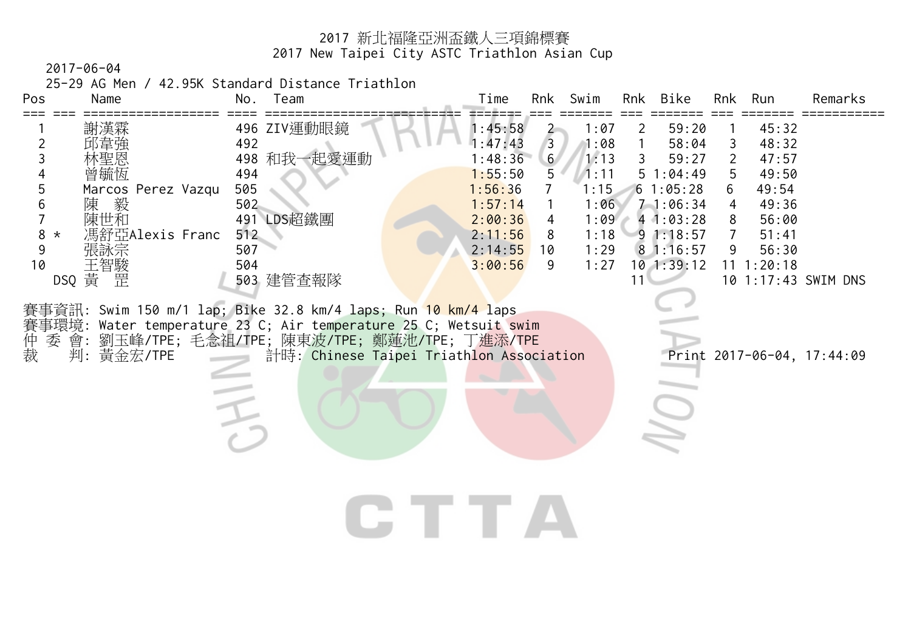2017-06-04

25-29 AG Men / 42.95K Standard Distance Triathlon

| Pos<br>Name                                                                                                                                                                                        | Team<br>No.                                                                                                                                                                                                                                                                                                                  | Time                                                                                                       | Rnk<br>Swim                                                                                                                                                  | Bike<br>Rnk                                                                                                                     | Rnk<br>Run                                                                                                                                                                                          | Remarks |
|----------------------------------------------------------------------------------------------------------------------------------------------------------------------------------------------------|------------------------------------------------------------------------------------------------------------------------------------------------------------------------------------------------------------------------------------------------------------------------------------------------------------------------------|------------------------------------------------------------------------------------------------------------|--------------------------------------------------------------------------------------------------------------------------------------------------------------|---------------------------------------------------------------------------------------------------------------------------------|-----------------------------------------------------------------------------------------------------------------------------------------------------------------------------------------------------|---------|
| ≔≔≕<br>謝漢霖<br>邱韋強<br>2<br>林聖恩<br>3<br>曾毓恆<br>4<br>5<br>Marcos Perez Vazqu<br>陳<br>陳世和<br>6<br>馮舒亞Alexis Franc<br>$8 *$<br>9<br>張詠宗<br>王智駿<br>10<br>DSQ 黄<br>罡<br>賽事環境:<br>仲裁<br>委 會:<br>判: 黃金宏/TPE | 496 ZIV運動眼鏡<br>492<br>498 和我一起愛運動<br>494<br>505<br>502<br>491 LDS超鐵團<br>512<br>507<br>504<br>503 建管查報隊<br>賽事資訊: Swim 150 m/1 lap; Bike 32.8 km/4 laps; Run 10 km/4 laps<br>Water temperature 23 C; Air temperature 25 C; Wetsuit swim<br>劉玉峰/TPE;毛念祖/TPE;陳東波/TPE;鄭蓮池/TPE;丁進添/TPE<br>計時: Chinese Taipei Triathlon Association | 1:45:58<br>1:47:43<br>1:48:36<br>1:55:50<br>1:56:36<br>1:57:14<br>2:00:36<br>2:11:56<br>2:14:55<br>3:00:56 | 1:07<br>$\overline{2}$<br>$\overline{3}$<br>1:08<br>6 <sup>1</sup><br>1:13<br>5<br>1:11<br>1:15<br>1:06<br>1:09<br>4<br>8<br>1:18<br>1:29<br>10<br>1:27<br>9 | 59:20<br>2<br>58:04<br>3<br>59:27<br>51:04:49<br>61:05:28<br>71:06:34<br>41:03:28<br>91:18:57<br>81:16:57<br>$10$ 1:39:12<br>11 | 45:32<br>48:32<br>3<br>$\overline{2}$<br>47:57<br>49:50<br>5<br>49:54<br>6<br>49:36<br>4<br>56:00<br>8<br>51:41<br>56:30<br>9<br>1:20:18<br>11<br>10 1:17:43 SWIM DNS<br>Print 2017-06-04, 17:44:09 |         |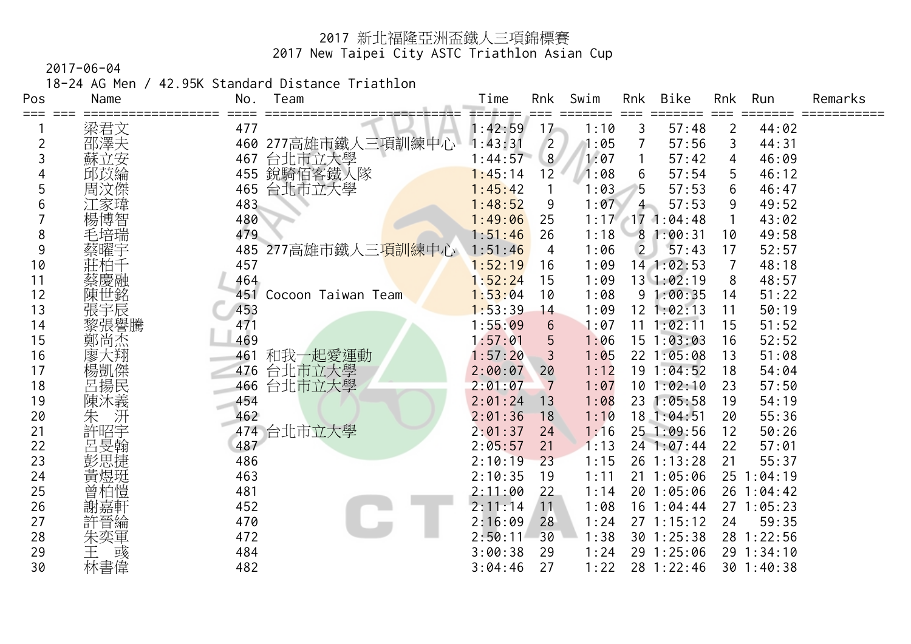2017-06-04

18-24 AG Men / 42.95K Standard Distance Triathlon

| Pos | Name        | No. | Team                          | Time    | Rnk            | Swim | Rnk            | Bike           | Rnk | Run        | Remarks |
|-----|-------------|-----|-------------------------------|---------|----------------|------|----------------|----------------|-----|------------|---------|
| === | 梁君文         | 477 |                               | 1:42:59 | 17             | 1:10 | 3              | 57:48          | 2   | 44:02      |         |
| 2   | 邵澤夫         | 460 | 277高雄市鐵人三項訓練中心                | 1:43:31 | $\overline{2}$ | 1:05 |                | 57:56          | 3   | 44:31      |         |
| 3   | 蘇立安         | 467 | 台北市立大學                        | 1:44:57 | 8              | 1:07 |                | 57:42          | 4   | 46:09      |         |
|     | 匹苡綸         | 455 | 銳騎佰客鐵人隊                       | 1:45:14 | 12             | 1:08 | 6              | 57:54          | 5   | 46:12      |         |
| 5   | 周汶傑         | 465 | 台北市立大學                        | 1:45:42 |                | 1:03 | 5.             | 57:53          | 6   | 46:47      |         |
| 6   | .家瑋         | 483 |                               | 1:48:52 | 9              | 1:07 | $4-$           | 57:53          | 9   | 49:52      |         |
|     | 楊博智         | 480 |                               | 1:49:06 | 25             | 1:17 |                | 171:04:48      |     | 43:02      |         |
| 8   |             | 479 |                               | 1:51:46 | 26             | 1:18 |                | 81:00:31       | 10  | 49:58      |         |
| 9   |             | 485 | 277高雄市鐵人三 <mark>項訓</mark> 練中心 | 1:51:46 | 4              | 1:06 | $\overline{2}$ | 57:43          | 17  | 52:57      |         |
| 10  |             | 457 |                               | 1:52:19 | 16             | 1:09 |                | 14 1:02:53     | 7   | 48:18      |         |
| 11  |             | 464 |                               | 1:52:24 | 15             | 1:09 |                | $13 \ 1:02:19$ | 8   | 48:57      |         |
| 12  | 陳世銘         | 451 | Cocoon Taiwan Team            | 1:53:04 | 10             | 1:08 |                | 91:00:35       | 14  | 51:22      |         |
| 13  |             | 453 |                               | 1:53:39 | 14             | 1:09 |                | $12 \t1:02:13$ | 11  | 50:19      |         |
| 14  | 張宇辰<br>黎張譽騰 | 471 |                               | 1:55:09 | 6              | 1:07 | 11             | 1:02:11        | 15  | 51:52      |         |
| 15  | 鄭尚杰         | 469 |                               | 1:57:01 | 5              | 1:06 |                | 151:03:03      | 16  | 52:52      |         |
| 16  | 廖大翔         | 461 | 和我一起愛運動                       | 1:57:20 | 3              | 1:05 |                | 22 1:05:08     | 13  | 51:08      |         |
| 17  | 楊凱傑         | 476 | 台北市立大學                        | 2:00:07 | 20             | 1:12 |                | 191:04:52      | 18  | 54:04      |         |
| 18  | 呂揚民         | 466 | 台北市立大學                        | 2:01:07 | 7              | 1:07 | 10             | 1:02:10        | 23  | 57:50      |         |
| 19  | 陳沐義         | 454 |                               | 2:01:24 | 13             | 1:08 |                | 23 1:05:58     | 19  | 54:19      |         |
| 20  | 汧<br>朱      | 462 |                               | 2:01:36 | 18             | 1:10 |                | 18 1:04:51     | 20  | 55:36      |         |
| 21  | 許昭宇         |     | 474 台北市立大學                    | 2:01:37 | 24             | 1:16 |                | 25 1:09:56     | 12  | 50:26      |         |
| 22  | 呂旻翰         | 487 |                               | 2:05:57 | 21             | 1:13 |                | $24$ 1:07:44   | 22  | 57:01      |         |
| 23  | 彭思捷         | 486 |                               | 2:10:19 | 23             | 1:15 |                | 26 1:13:28     | 21  | 55:37      |         |
| 24  | 黃煜珽         | 463 |                               | 2:10:35 | 19             | 1:11 | 21             | 1:05:06        | 25  | 1:04:19    |         |
| 25  | 曾柏愷         | 481 |                               | 2:11:00 | 22             | 1:14 |                | 20 1:05:06     |     | 26 1:04:42 |         |
| 26  | 謝嘉軒         | 452 |                               | 2:11:14 | 11             | 1:08 | 16             | 1:04:44        |     | 271:05:23  |         |
| 27  | 許晉綸         | 470 |                               | 2:16:09 | 28             | 1:24 |                | 271:15:12      | 24  | 59:35      |         |
| 28  | 朱奕軍         | 472 |                               | 2:50:11 | 30             | 1:38 |                | 30 1:25:38     |     | 28 1:22:56 |         |
| 29  | 彧           | 484 |                               | 3:00:38 | 29             | 1:24 |                | 29 1:25:06     |     | 29 1:34:10 |         |
| 30  | 林書偉         | 482 |                               | 3:04:46 | 27             | 1:22 |                | 28 1:22:46     |     | 30 1:40:38 |         |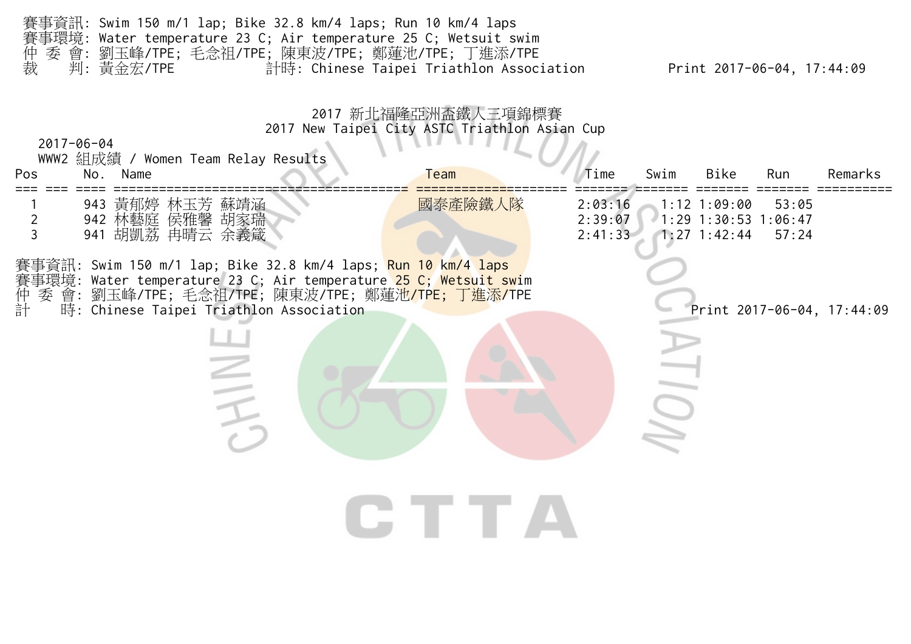| 仲裁<br>判: 黃金宏/TPE                           | 賽事資訊: Swim 150 m/1 lap; Bike 32.8 km/4 laps; Run 10 km/4 laps<br>賽事環境: Water temperature 23 C; Air temperature 25 C; Wetsuit swim<br>委 會: 劉玉峰/TPE; 毛念祖/TPE; 陳東波/TPE; 鄭蓮池/TPE; 丁進添/TPE                                                                                  | 計時: Chinese Taipei Triathlon Association                                            |                               | Print 2017-06-04, 17:44:09                                                   |         |
|--------------------------------------------|------------------------------------------------------------------------------------------------------------------------------------------------------------------------------------------------------------------------------------------------------------------------|-------------------------------------------------------------------------------------|-------------------------------|------------------------------------------------------------------------------|---------|
| $2017 - 06 - 04$<br>No. Name<br><b>Pos</b> | WWW2 組成績 / Women Team Relay Results                                                                                                                                                                                                                                    | 2017 新北福隆亞洲盃鐵人三項錦標賽<br>2017 New Taipei City ASTC Triathlon Asian Cup<br><b>Team</b> | Time<br>Swim                  | Bike<br>Run                                                                  | Remarks |
| $\overline{2}$<br>$\overline{3}$           | 943 黃郁婷 林玉芳 蘇靖涵<br>942 林藝庭 侯雅馨 胡家瑞<br>941 胡凱荔 冉晴云 余義箴                                                                                                                                                                                                                  | 國泰產險鐵人隊                                                                             | 2:03:16<br>2:39:07<br>2:41:33 | $1:12$ 1:09:00<br>53:05<br>$1:29$ 1:30:53 1:06:47<br>$1:27$ 1:42:44<br>57:24 |         |
| 仲計<br>委                                    | 事資訊: Swim 150 m/1 lap; Bike 32.8 km/4 laps; <mark>Run 10 km/4 laps</mark><br>事環境: Water temperature 23 C; Air temperature <mark>25 C; Wetsuit sw</mark> im<br>會: 劉玉峰/TPE; 毛念祖/TPE; 陳東波/TPE; 鄭蓮池 <mark>/TPE; 丁進添/T</mark> PE<br>時: Chinese Taipei Triathlon Association |                                                                                     |                               | Print 2017-06-04, 17:44:09                                                   |         |
|                                            |                                                                                                                                                                                                                                                                        |                                                                                     |                               |                                                                              |         |
|                                            |                                                                                                                                                                                                                                                                        |                                                                                     |                               |                                                                              |         |
|                                            |                                                                                                                                                                                                                                                                        | CTTA                                                                                |                               |                                                                              |         |
|                                            |                                                                                                                                                                                                                                                                        |                                                                                     |                               |                                                                              |         |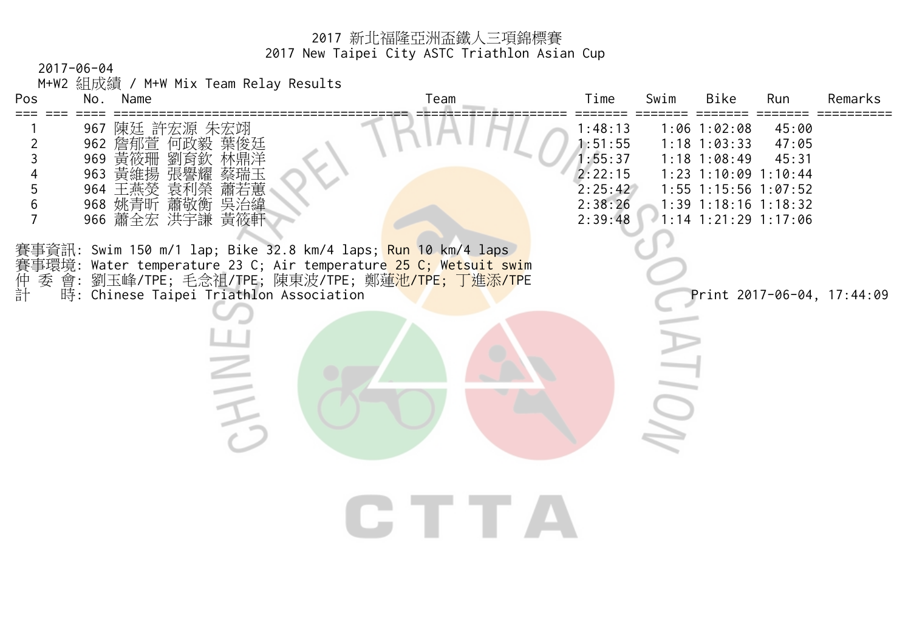2017-06-04

M+W2 組成績 / M+W Mix Team Relay Results

| Pos                                                                                | No.  | Name |                                                                                                                                                                                                                                                       | Team                                                                       | Time                                                                      | Swim | Bike                                                                                                                                                   | Run                     | Remarks                    |
|------------------------------------------------------------------------------------|------|------|-------------------------------------------------------------------------------------------------------------------------------------------------------------------------------------------------------------------------------------------------------|----------------------------------------------------------------------------|---------------------------------------------------------------------------|------|--------------------------------------------------------------------------------------------------------------------------------------------------------|-------------------------|----------------------------|
| $\overline{2}$<br>$\mathfrak{Z}$<br>$\overline{4}$<br>5<br>$6\,$<br>$\overline{7}$ |      |      | 967 陳廷 許宏源 朱宏翊<br>962 詹郁萱 何政毅 葉俊廷<br>969 黃筱珊 劉育欽 林鼎洋<br>963 黃維揚 張譽耀 蔡瑞玉<br>964 王燕熒 袁利榮 蕭若蕙<br>968 姚青昕 蕭敬衡 吳治緯<br>966 蕭全宏 洪宇謙 黃筱軒                                                                                                                      |                                                                            | 1:48:13<br>1:51:55<br>1:55:37<br>2:22:15<br>2:25:42<br>2:38:26<br>2:39:48 |      | $1:06$ 1:02:08<br>$1:18$ 1:03:33<br>$1:18$ 1:08:49<br>1:23 1:10:09 1:10:44<br>1:55 1:15:56 1:07:52<br>$1:39$ 1:18:16 1:18:32<br>$1:14$ 1:21:29 1:17:06 | 45:00<br>47:05<br>45:31 |                            |
| 仲計<br>委                                                                            | 事環境: |      | 賽事資訊: Swim 150 m/1 lap; Bike 32.8 km/4 laps; <mark>Run 10 k</mark> m/4 laps<br>Water temperature 23 C; Air temperature 25 C; Wetsuit swim<br>會: 劉玉峰/TPE; 毛念祖/TPE; 陳東波/TPE; 鄭蓮 <mark>池/TPE; 丁進添/TP</mark> E<br>時: Chinese Taipei Triathlon Association |                                                                            |                                                                           |      |                                                                                                                                                        |                         | Print 2017-06-04, 17:44:09 |
|                                                                                    |      |      |                                                                                                                                                                                                                                                       |                                                                            |                                                                           |      |                                                                                                                                                        |                         |                            |
|                                                                                    |      |      |                                                                                                                                                                                                                                                       | $\blacksquare$ $\blacksquare$ $\blacksquare$ $\blacksquare$ $\blacksquare$ |                                                                           |      |                                                                                                                                                        |                         |                            |